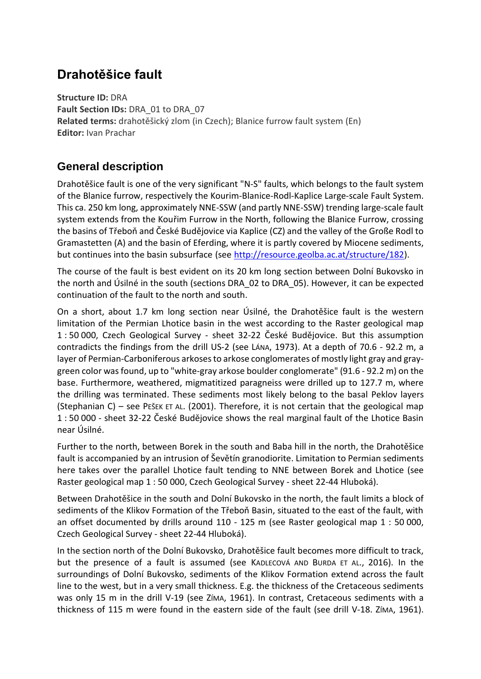# **Drahotěšice fault**

**Structure ID:** DRA **Fault Section IDs:** DRA\_01 to DRA\_07 **Related terms:** drahotěšický zlom (in Czech); Blanice furrow fault system (En) **Editor:** Ivan Prachar

#### **General description**

Drahotěšice fault is one of the very significant "N-S" faults, which belongs to the fault system of the Blanice furrow, respectively the Kourim-Blanice-Rodl-Kaplice Large-scale Fault System. This ca. 250 km long, approximately NNE-SSW (and partly NNE-SSW) trending large-scale fault system extends from the Kouřim Furrow in the North, following the Blanice Furrow, crossing the basins of Třeboň and České Budějovice via Kaplice (CZ) and the valley of the Große Rodl to Gramastetten (A) and the basin of Eferding, where it is partly covered by Miocene sediments, but continues into the basin subsurface (see [http://resource.geolba.ac.at/structure/182\)](http://resource.geolba.ac.at/structure/182).

The course of the fault is best evident on its 20 km long section between Dolní Bukovsko in the north and Úsilné in the south (sections DRA\_02 to DRA\_05). However, it can be expected continuation of the fault to the north and south.

On a short, about 1.7 km long section near Úsilné, the Drahotěšice fault is the western limitation of the Permian Lhotice basin in the west according to the Raster geological map 1 : 50 000, Czech Geological Survey - sheet 32-22 České Budějovice. But this assumption contradicts the findings from the drill US-2 (see LÁNA, 1973). At a depth of 70.6 - 92.2 m, a layer of Permian-Carboniferous arkoses to arkose conglomerates of mostly light gray and graygreen color was found, up to "white-gray arkose boulder conglomerate" (91.6 - 92.2 m) on the base. Furthermore, weathered, migmatitized paragneiss were drilled up to 127.7 m, where the drilling was terminated. These sediments most likely belong to the basal Peklov layers (Stephanian C) – see PEŠEK ET AL. (2001). Therefore, it is not certain that the geological map 1 : 50 000 - sheet 32-22 České Budějovice shows the real marginal fault of the Lhotice Basin near Úsilné.

Further to the north, between Borek in the south and Baba hill in the north, the Drahotěšice fault is accompanied by an intrusion of Ševětín granodiorite. Limitation to Permian sediments here takes over the parallel Lhotice fault tending to NNE between Borek and Lhotice (see Raster geological map 1 : 50 000, Czech Geological Survey - sheet 22-44 Hluboká).

Between Drahotěšice in the south and Dolní Bukovsko in the north, the fault limits a block of sediments of the Klikov Formation of the Třeboň Basin, situated to the east of the fault, with an offset documented by drills around 110 - 125 m (see Raster geological map 1 : 50 000, Czech Geological Survey - sheet 22-44 Hluboká).

In the section north of the Dolní Bukovsko, Drahotěšice fault becomes more difficult to track, but the presence of a fault is assumed (see KADLECOVÁ AND BURDA ET AL., 2016). In the surroundings of Dolní Bukovsko, sediments of the Klikov Formation extend across the fault line to the west, but in a very small thickness. E.g. the thickness of the Cretaceous sediments was only 15 m in the drill V-19 (see ZÍMA, 1961). In contrast, Cretaceous sediments with a thickness of 115 m were found in the eastern side of the fault (see drill V-18. ZÍMA, 1961).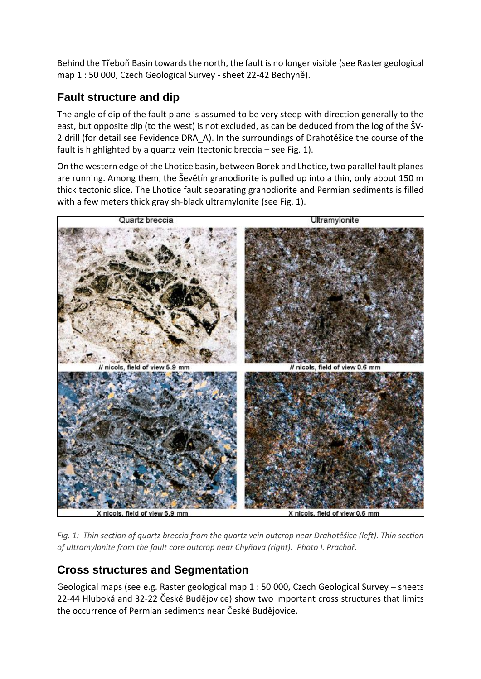Behind the Třeboň Basin towards the north, the fault is no longer visible (see Raster geological map 1 : 50 000, Czech Geological Survey - sheet 22-42 Bechyně).

### **Fault structure and dip**

The angle of dip of the fault plane is assumed to be very steep with direction generally to the east, but opposite dip (to the west) is not excluded, as can be deduced from the log of the ŠV-2 drill (for detail see Fevidence DRA\_A). In the surroundings of Drahotěšice the course of the fault is highlighted by a quartz vein (tectonic breccia – see Fig. 1).

On the western edge of the Lhotice basin, between Borek and Lhotice, two parallel fault planes are running. Among them, the Ševětín granodiorite is pulled up into a thin, only about 150 m thick tectonic slice. The Lhotice fault separating granodiorite and Permian sediments is filled with a few meters thick grayish-black ultramylonite (see Fig. 1).



*Fig. 1: Thin section of quartz breccia from the quartz vein outcrop near Drahotěšice (left). Thin section of ultramylonite from the fault core outcrop near Chyňava (right). Photo I. Prachař.*

## **Cross structures and Segmentation**

Geological maps (see e.g. Raster geological map 1 : 50 000, Czech Geological Survey – sheets 22-44 Hluboká and 32-22 České Budějovice) show two important cross structures that limits the occurrence of Permian sediments near České Budějovice.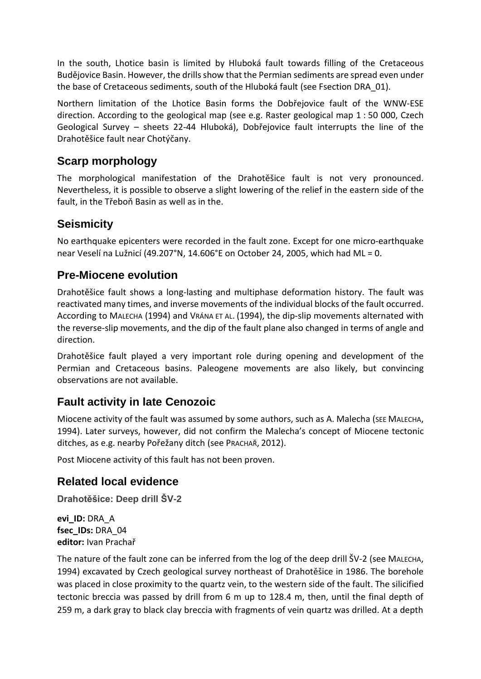In the south, Lhotice basin is limited by Hluboká fault towards filling of the Cretaceous Budějovice Basin. However, the drills show that the Permian sediments are spread even under the base of Cretaceous sediments, south of the Hluboká fault (see Fsection DRA\_01).

Northern limitation of the Lhotice Basin forms the Dobřejovice fault of the WNW-ESE direction. According to the geological map (see e.g. Raster geological map 1 : 50 000, Czech Geological Survey – sheets 22-44 Hluboká), Dobřejovice fault interrupts the line of the Drahotěšice fault near Chotýčany.

#### **Scarp morphology**

The morphological manifestation of the Drahotěšice fault is not very pronounced. Nevertheless, it is possible to observe a slight lowering of the relief in the eastern side of the fault, in the Třeboň Basin as well as in the.

#### **Seismicity**

No earthquake epicenters were recorded in the fault zone. Except for one micro-earthquake near Veselí na Lužnicí (49.207°N, 14.606°E on October 24, 2005, which had ML = 0.

#### **Pre-Miocene evolution**

Drahotěšice fault shows a long-lasting and multiphase deformation history. The fault was reactivated many times, and inverse movements of the individual blocks of the fault occurred. According to MALECHA (1994) and VRÁNA ET AL. (1994), the dip-slip movements alternated with the reverse-slip movements, and the dip of the fault plane also changed in terms of angle and direction.

Drahotěšice fault played a very important role during opening and development of the Permian and Cretaceous basins. Paleogene movements are also likely, but convincing observations are not available.

#### **Fault activity in late Cenozoic**

Miocene activity of the fault was assumed by some authors, such as A. Malecha (SEE MALECHA, 1994). Later surveys, however, did not confirm the Malecha's concept of Miocene tectonic ditches, as e.g. nearby Pořežany ditch (see PRACHAŘ, 2012).

Post Miocene activity of this fault has not been proven.

#### **Related local evidence**

**Drahotěšice: Deep drill ŠV-2**

**evi\_ID:** DRA\_A **fsec\_IDs:** DRA\_04 **editor:** [Ivan](mailto:spacek@ipe.muni.cz) Prachař

The nature of the fault zone can be inferred from the log of the deep drill ŠV-2 (see MALECHA, 1994) excavated by Czech geological survey northeast of Drahotěšice in 1986. The borehole was placed in close proximity to the quartz vein, to the western side of the fault. The silicified tectonic breccia was passed by drill from 6 m up to 128.4 m, then, until the final depth of 259 m, a dark gray to black clay breccia with fragments of vein quartz was drilled. At a depth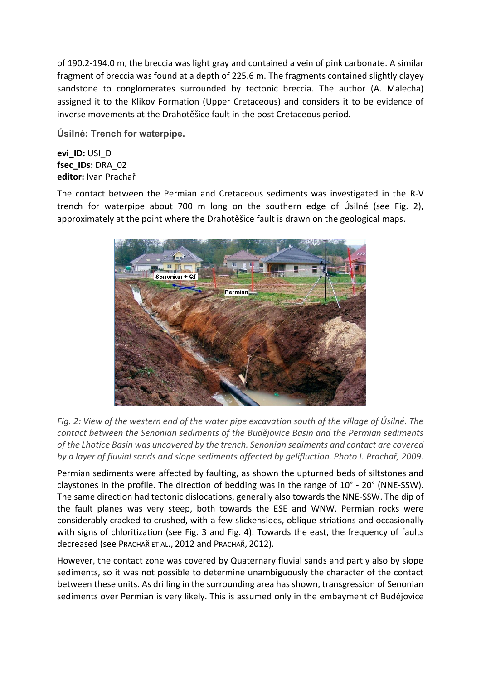of 190.2-194.0 m, the breccia was light gray and contained a vein of pink carbonate. A similar fragment of breccia was found at a depth of 225.6 m. The fragments contained slightly clayey sandstone to conglomerates surrounded by tectonic breccia. The author (A. Malecha) assigned it to the Klikov Formation (Upper Cretaceous) and considers it to be evidence of inverse movements at the Drahotěšice fault in the post Cretaceous period.

**Úsilné: Trench for waterpipe.**

**evi\_ID:** USI\_D **fsec\_IDs:** DRA\_02 **editor:** [Ivan](mailto:spacek@ipe.muni.cz) Prachař

The contact between the Permian and Cretaceous sediments was investigated in the R-V trench for waterpipe about 700 m long on the southern edge of Úsilné (see Fig. 2), approximately at the point where the Drahotěšice fault is drawn on the geological maps.



*Fig. 2: View of the western end of the water pipe excavation south of the village of Úsilné. The contact between the Senonian sediments of the Budějovice Basin and the Permian sediments of the Lhotice Basin was uncovered by the trench. Senonian sediments and contact are covered by a layer of fluvial sands and slope sediments affected by gelifluction. Photo I. Prachař, 2009.*

Permian sediments were affected by faulting, as shown the upturned beds of siltstones and claystones in the profile. The direction of bedding was in the range of 10° - 20° (NNE-SSW). The same direction had tectonic dislocations, generally also towards the NNE-SSW. The dip of the fault planes was very steep, both towards the ESE and WNW. Permian rocks were considerably cracked to crushed, with a few slickensides, oblique striations and occasionally with signs of chloritization (see Fig. 3 and Fig. 4). Towards the east, the frequency of faults decreased (see PRACHAŘ ET AL., 2012 and PRACHAŘ, 2012).

However, the contact zone was covered by Quaternary fluvial sands and partly also by slope sediments, so it was not possible to determine unambiguously the character of the contact between these units. As drilling in the surrounding area has shown, transgression of Senonian sediments over Permian is very likely. This is assumed only in the embayment of Budějovice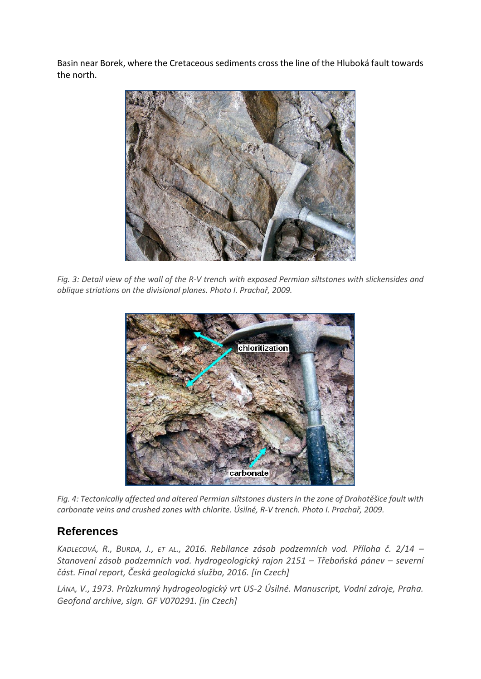Basin near Borek, where the Cretaceous sediments cross the line of the Hluboká fault towards the north.



*Fig. 3: Detail view of the wall of the R-V trench with exposed Permian siltstones with slickensides and oblique striations on the divisional planes. Photo I. Prachař, 2009.*



*Fig. 4: Tectonically affected and altered Permian siltstones dusters in the zone of Drahotěšice fault with carbonate veins and crushed zones with chlorite. Úsilné, R-V trench. Photo I. Prachař, 2009.*

#### **References**

*KADLECOVÁ, R., BURDA, J., ET AL., 2016. Rebilance zásob podzemních vod. Příloha č. 2/14 – Stanovení zásob podzemních vod. hydrogeologický rajon 2151 – Třeboňská pánev – severní část. Final report, Česká geologická služba, 2016. [in Czech]*

*LÁNA, V., 1973. Průzkumný hydrogeologický vrt US-2 Úsilné. Manuscript, Vodní zdroje, Praha. Geofond archive, sign. GF V070291. [in Czech]*